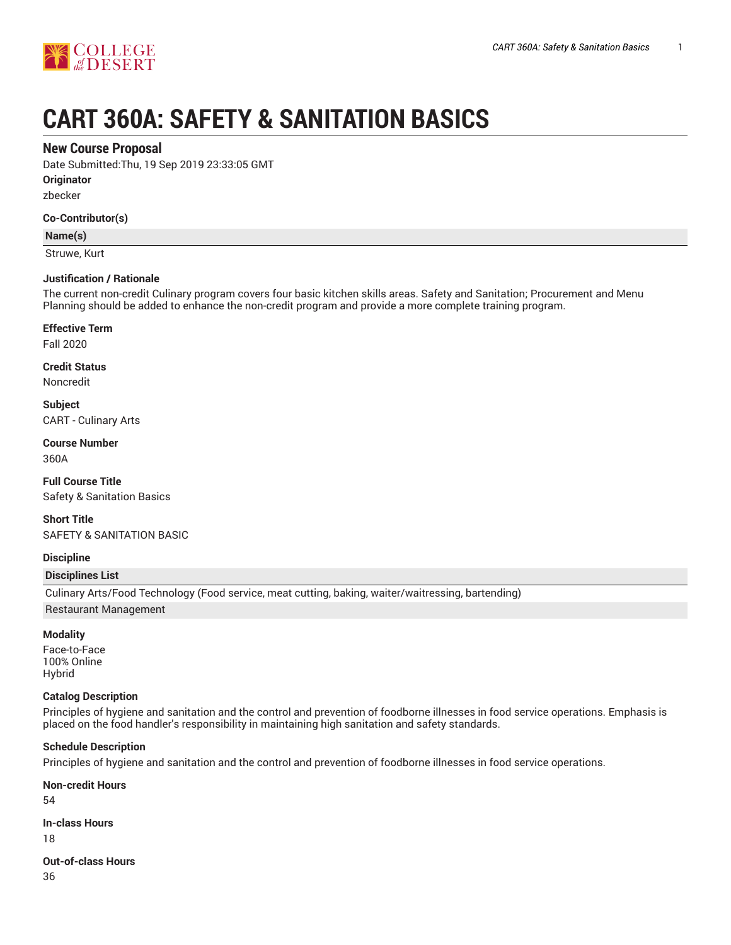

# **CART 360A: SAFETY & SANITATION BASICS**

# **New Course Proposal**

Date Submitted:Thu, 19 Sep 2019 23:33:05 GMT

**Originator**

zbecker

#### **Co-Contributor(s)**

#### **Name(s)**

Struwe, Kurt

#### **Justification / Rationale**

The current non-credit Culinary program covers four basic kitchen skills areas. Safety and Sanitation; Procurement and Menu Planning should be added to enhance the non-credit program and provide a more complete training program.

#### **Effective Term**

Fall 2020

# **Credit Status**

Noncredit

**Subject** CART - Culinary Arts

# **Course Number**

360A

**Full Course Title** Safety & Sanitation Basics

**Short Title** SAFETY & SANITATION BASIC

#### **Discipline**

#### **Disciplines List**

Culinary Arts/Food Technology (Food service, meat cutting, baking, waiter/waitressing, bartending) Restaurant Management

#### **Modality**

Face-to-Face 100% Online Hybrid

#### **Catalog Description**

Principles of hygiene and sanitation and the control and prevention of foodborne illnesses in food service operations. Emphasis is placed on the food handler's responsibility in maintaining high sanitation and safety standards.

#### **Schedule Description**

Principles of hygiene and sanitation and the control and prevention of foodborne illnesses in food service operations.

#### **Non-credit Hours**

54

#### **In-class Hours**

18

# **Out-of-class Hours**

36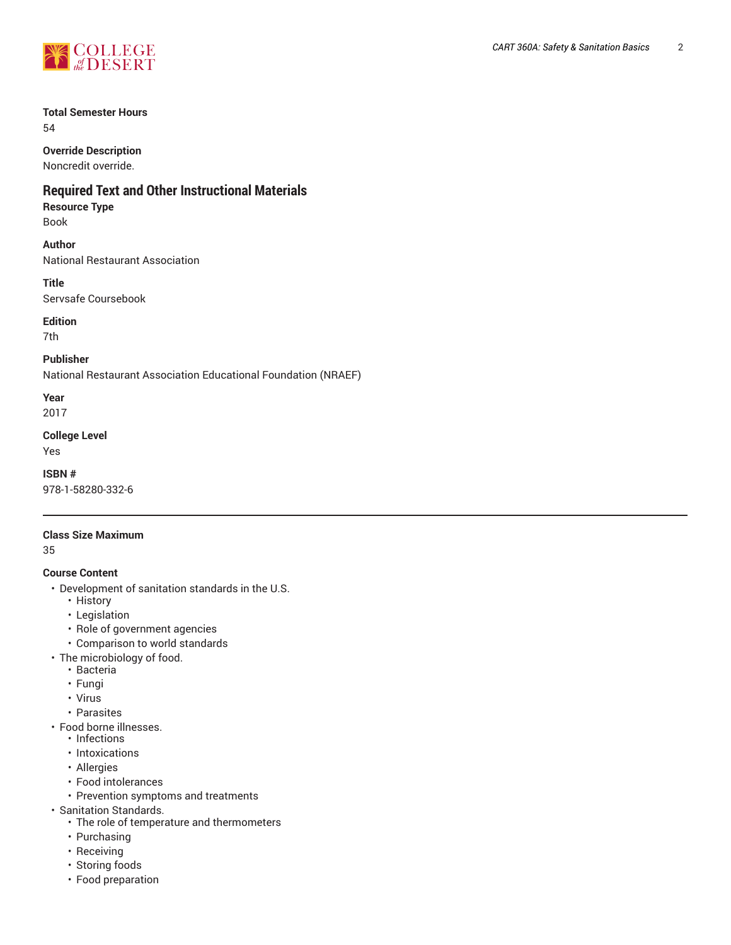

# **Total Semester Hours**

54

# **Override Description**

Noncredit override.

# **Required Text and Other Instructional Materials**

# **Resource Type**

Book

# **Author**

National Restaurant Association

# **Title**

Servsafe Coursebook

# **Edition**

7th

# **Publisher**

National Restaurant Association Educational Foundation (NRAEF)

# **Year**

2017

# **College Level**

Yes

## **ISBN #** 978-1-58280-332-6

# **Class Size Maximum**

35

# **Course Content**

- Development of sanitation standards in the U.S.
	- History
	- Legislation
	- Role of government agencies
	- Comparison to world standards
- The microbiology of food.
	- Bacteria
	- Fungi
	- Virus
	- Parasites
- Food borne illnesses.
	- Infections
	- Intoxications
	- Allergies
	- Food intolerances
	- Prevention symptoms and treatments
- Sanitation Standards.
	- The role of temperature and thermometers
	- Purchasing
	- Receiving
	- Storing foods
	- Food preparation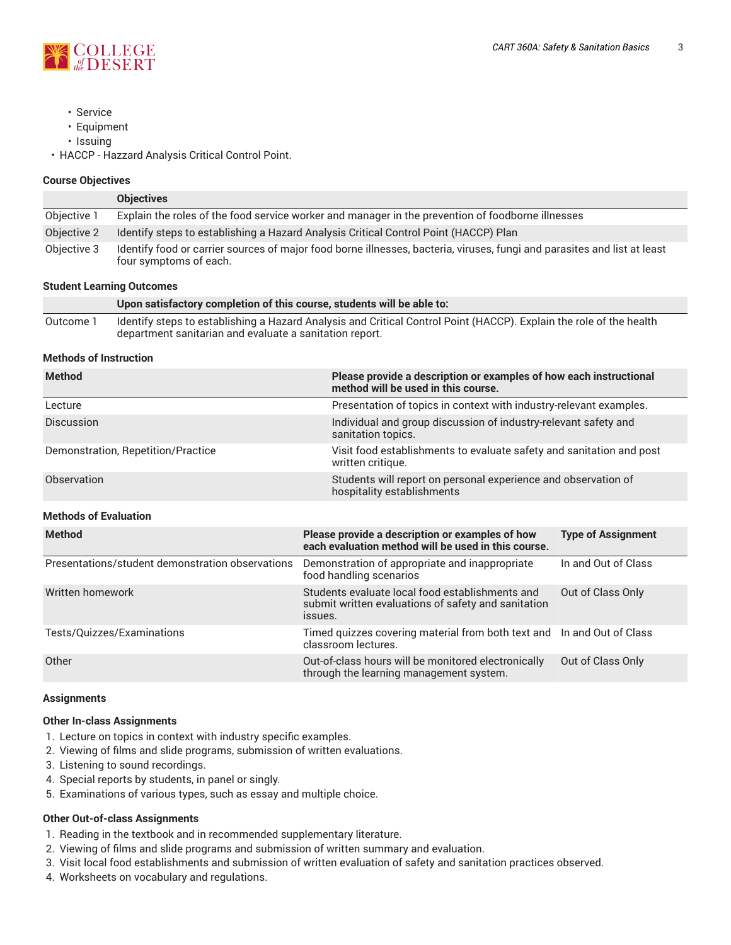

- Service
- Equipment
- Issuing

• HACCP - Hazzard Analysis Critical Control Point.

#### **Course Objectives**

|             | <b>Objectives</b>                                                                                                                                  |
|-------------|----------------------------------------------------------------------------------------------------------------------------------------------------|
| Objective 1 | Explain the roles of the food service worker and manager in the prevention of foodborne illnesses                                                  |
| Objective 2 | Identify steps to establishing a Hazard Analysis Critical Control Point (HACCP) Plan                                                               |
| Objective 3 | Identify food or carrier sources of major food borne illnesses, bacteria, viruses, fungi and parasites and list at least<br>four symptoms of each. |

#### **Student Learning Outcomes**

|           | Upon satisfactory completion of this course, students will be able to:                                                                                                         |
|-----------|--------------------------------------------------------------------------------------------------------------------------------------------------------------------------------|
| Outcome i | Identify steps to establishing a Hazard Analysis and Critical Control Point (HACCP). Explain the role of the health<br>department sanitarian and evaluate a sanitation report. |

## **Methods of Instruction**

| <b>Method</b>                      | Please provide a description or examples of how each instructional<br>method will be used in this course. |
|------------------------------------|-----------------------------------------------------------------------------------------------------------|
| Lecture                            | Presentation of topics in context with industry-relevant examples.                                        |
| <b>Discussion</b>                  | Individual and group discussion of industry-relevant safety and<br>sanitation topics.                     |
| Demonstration, Repetition/Practice | Visit food establishments to evaluate safety and sanitation and post<br>written critique.                 |
| Observation                        | Students will report on personal experience and observation of<br>hospitality establishments              |

## **Methods of Evaluation**

| <b>Method</b>                                    | Please provide a description or examples of how<br>each evaluation method will be used in this course.            | <b>Type of Assignment</b> |
|--------------------------------------------------|-------------------------------------------------------------------------------------------------------------------|---------------------------|
| Presentations/student demonstration observations | Demonstration of appropriate and inappropriate<br>food handling scenarios                                         | In and Out of Class       |
| Written homework                                 | Students evaluate local food establishments and<br>submit written evaluations of safety and sanitation<br>ISSUES. | Out of Class Only         |
| Tests/Quizzes/Examinations                       | Timed quizzes covering material from both text and In and Out of Class<br>classroom lectures.                     |                           |
| Other                                            | Out-of-class hours will be monitored electronically<br>through the learning management system.                    | Out of Class Only         |

#### **Assignments**

#### **Other In-class Assignments**

- 1. Lecture on topics in context with industry specific examples.
- 2. Viewing of films and slide programs, submission of written evaluations.
- 3. Listening to sound recordings.
- 4. Special reports by students, in panel or singly.
- 5. Examinations of various types, such as essay and multiple choice.

# **Other Out-of-class Assignments**

- 1. Reading in the textbook and in recommended supplementary literature.
- 2. Viewing of films and slide programs and submission of written summary and evaluation.
- 3. Visit local food establishments and submission of written evaluation of safety and sanitation practices observed.
- 4. Worksheets on vocabulary and regulations.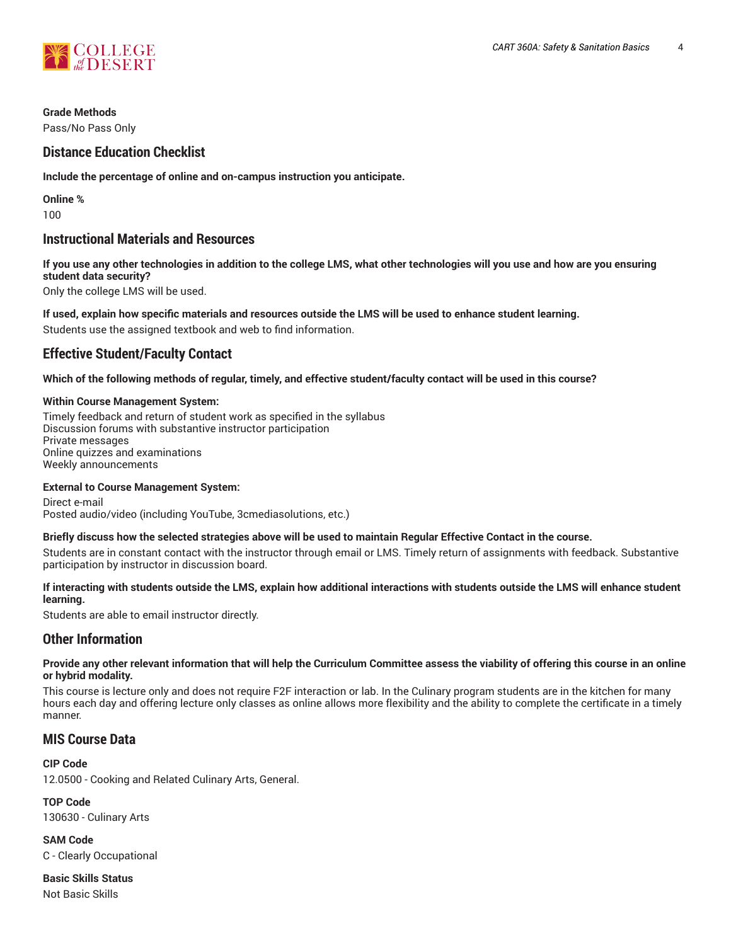

## **Grade Methods**

Pass/No Pass Only

# **Distance Education Checklist**

**Include the percentage of online and on-campus instruction you anticipate.**

**Online %** 100

# **Instructional Materials and Resources**

If you use any other technologies in addition to the college LMS, what other technologies will you use and how are you ensuring **student data security?**

Only the college LMS will be used.

**If used, explain how specific materials and resources outside the LMS will be used to enhance student learning.**

Students use the assigned textbook and web to find information.

# **Effective Student/Faculty Contact**

Which of the following methods of regular, timely, and effective student/faculty contact will be used in this course?

## **Within Course Management System:**

Timely feedback and return of student work as specified in the syllabus Discussion forums with substantive instructor participation Private messages Online quizzes and examinations Weekly announcements

#### **External to Course Management System:**

Direct e-mail Posted audio/video (including YouTube, 3cmediasolutions, etc.)

#### Briefly discuss how the selected strategies above will be used to maintain Regular Effective Contact in the course.

Students are in constant contact with the instructor through email or LMS. Timely return of assignments with feedback. Substantive participation by instructor in discussion board.

## **If interacting with students outside the LMS, explain how additional interactions with students outside the LMS will enhance student learning.**

Students are able to email instructor directly.

# **Other Information**

#### Provide any other relevant information that will help the Curriculum Committee assess the viability of offering this course in an online **or hybrid modality.**

This course is lecture only and does not require F2F interaction or lab. In the Culinary program students are in the kitchen for many hours each day and offering lecture only classes as online allows more flexibility and the ability to complete the certificate in a timely manner.

# **MIS Course Data**

#### **CIP Code**

12.0500 - Cooking and Related Culinary Arts, General.

**TOP Code** 130630 - Culinary Arts

**SAM Code** C - Clearly Occupational

**Basic Skills Status** Not Basic Skills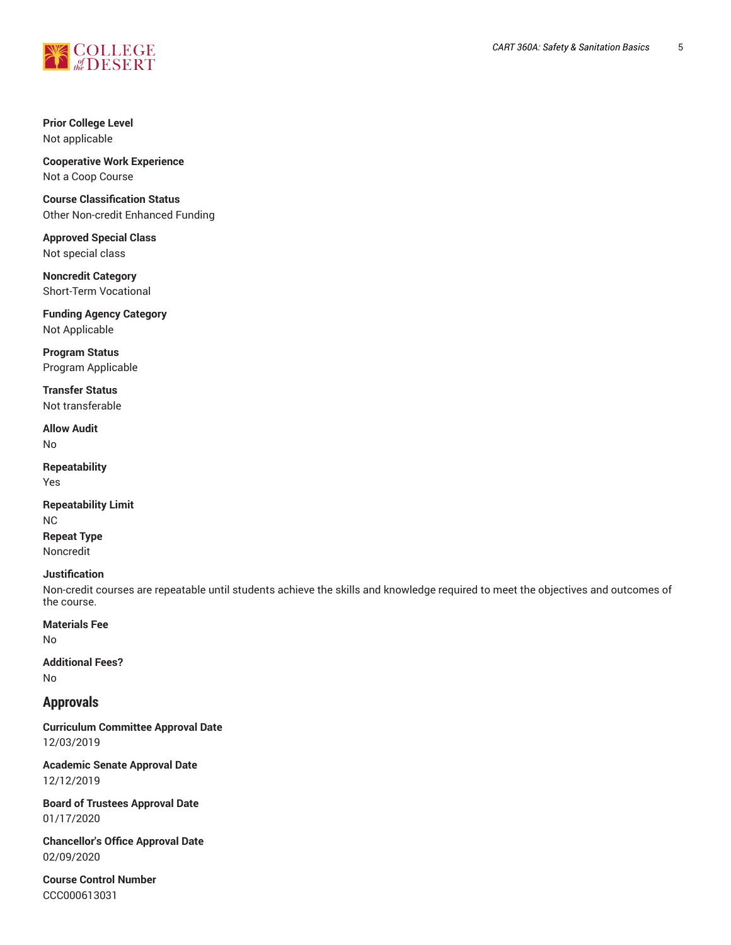

# **Prior College Level** Not applicable

**Cooperative Work Experience** Not a Coop Course

**Course Classification Status** Other Non-credit Enhanced Funding

**Approved Special Class** Not special class

**Noncredit Category** Short-Term Vocational

**Funding Agency Category** Not Applicable

**Program Status** Program Applicable

**Transfer Status** Not transferable

**Allow Audit** No

**Repeatability** Yes

**Repeatability Limit** NC **Repeat Type**

Noncredit

# **Justification**

Non-credit courses are repeatable until students achieve the skills and knowledge required to meet the objectives and outcomes of the course.

**Materials Fee**

No

## **Additional Fees?** No

**Approvals**

**Curriculum Committee Approval Date** 12/03/2019

**Academic Senate Approval Date** 12/12/2019

**Board of Trustees Approval Date** 01/17/2020

**Chancellor's Office Approval Date** 02/09/2020

**Course Control Number** CCC000613031